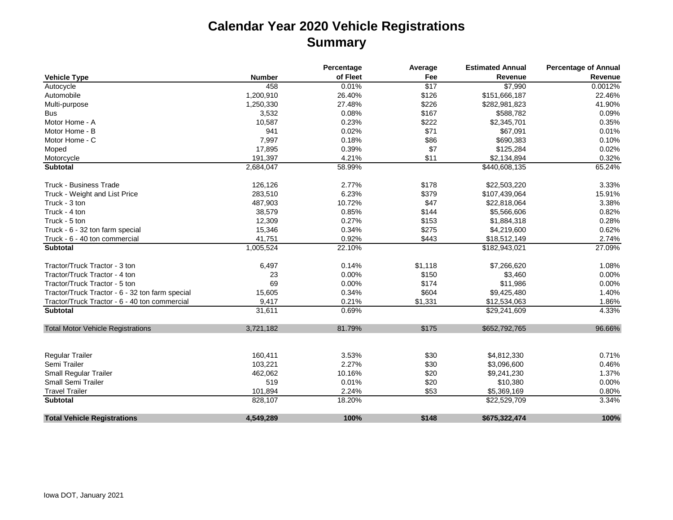## **Calendar Year 2020 Vehicle Registrations Summary**

|                                                 |                | Percentage | Average      | <b>Estimated Annual</b> | <b>Percentage of Annual</b> |
|-------------------------------------------------|----------------|------------|--------------|-------------------------|-----------------------------|
| <b>Vehicle Type</b>                             | <b>Number</b>  | of Fleet   | Fee          | Revenue                 | Revenue                     |
| Autocycle                                       | 458            | 0.01%      | \$17         | \$7,990                 | 0.0012%                     |
| Automobile                                      | 1,200,910      | 26.40%     | \$126        | \$151,666,187           | 22.46%                      |
| Multi-purpose                                   | 1,250,330      | 27.48%     | \$226        | \$282,981,823           | 41.90%                      |
| <b>Bus</b>                                      | 3,532          | 0.08%      | \$167        | \$588,782               | 0.09%                       |
| Motor Home - A                                  | 10,587         | 0.23%      | \$222        | \$2,345,701             | 0.35%                       |
| Motor Home - B                                  | 941            | 0.02%      | \$71         | \$67,091                | 0.01%                       |
| Motor Home - C                                  | 7,997          | 0.18%      | \$86         | \$690,383               | 0.10%                       |
| Moped                                           | 17,895         | 0.39%      | \$7          | \$125,284               | 0.02%                       |
| Motorcycle                                      | 191,397        | 4.21%      | \$11         | \$2,134,894             | 0.32%                       |
| <b>Subtotal</b>                                 | 2,684,047      | 58.99%     |              | \$440,608,135           | 65.24%                      |
| <b>Truck - Business Trade</b>                   | 126,126        | 2.77%      | \$178        | \$22,503,220            | 3.33%                       |
| Truck - Weight and List Price                   | 283,510        | 6.23%      | \$379        | \$107,439,064           | 15.91%                      |
| Truck - 3 ton                                   | 487,903        | 10.72%     | \$47         | \$22,818,064            | 3.38%                       |
| Truck - 4 ton                                   | 38,579         | 0.85%      | \$144        | \$5,566,606             | 0.82%                       |
| Truck - 5 ton                                   | 12,309         | 0.27%      | \$153        | \$1,884,318             | 0.28%                       |
| Truck - 6 - 32 ton farm special                 | 15,346         | 0.34%      | \$275        | \$4,219,600             | 0.62%                       |
| Truck - 6 - 40 ton commercial                   | 41,751         | 0.92%      | \$443        | \$18,512,149            | 2.74%                       |
| <b>Subtotal</b>                                 | 1,005,524      | 22.10%     |              | \$182,943,021           | 27.09%                      |
| Tractor/Truck Tractor - 3 ton                   | 6,497          | 0.14%      | \$1,118      | \$7,266,620             | 1.08%                       |
| Tractor/Truck Tractor - 4 ton                   | 23             | 0.00%      | \$150        | \$3,460                 | 0.00%                       |
| Tractor/Truck Tractor - 5 ton                   | 69             | 0.00%      | \$174        | \$11,986                | 0.00%                       |
| Tractor/Truck Tractor - 6 - 32 ton farm special | 15,605         | 0.34%      | \$604        | \$9,425,480             | 1.40%                       |
| Tractor/Truck Tractor - 6 - 40 ton commercial   | 9,417          | 0.21%      | \$1,331      | \$12,534,063            | 1.86%                       |
| <b>Subtotal</b>                                 | 31,611         | 0.69%      |              | \$29,241,609            | 4.33%                       |
| <b>Total Motor Vehicle Registrations</b>        | 3,721,182      | 81.79%     | \$175        | \$652,792,765           | 96.66%                      |
| <b>Regular Trailer</b>                          | 160,411        | 3.53%      | \$30         | \$4,812,330             | 0.71%                       |
| Semi Trailer                                    | 103,221        | 2.27%      | \$30         | \$3,096,600             | 0.46%                       |
|                                                 |                | 10.16%     |              |                         | 1.37%                       |
| Small Regular Trailer<br>Small Semi Trailer     | 462,062<br>519 | 0.01%      | \$20<br>\$20 | \$9,241,230<br>\$10,380 | 0.00%                       |
| <b>Travel Trailer</b>                           | 101,894        | 2.24%      | \$53         | \$5,369,169             | 0.80%                       |
| <b>Subtotal</b>                                 |                |            |              |                         |                             |
|                                                 | 828,107        | 18.20%     |              | \$22,529,709            | 3.34%                       |
| <b>Total Vehicle Registrations</b>              | 4,549,289      | 100%       | \$148        | \$675,322,474           | 100%                        |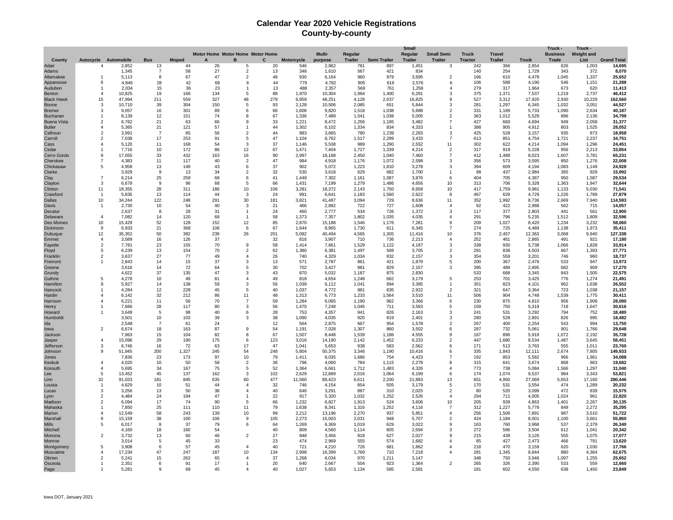## **Calendar Year 2020 Vehicle Registrations County-by-county**

|                             |                         |                  |                |              |                                  |                       |          |                   |                  |                |              | Small           |                               |                |                |                 | Truck -         | Truck -           |                    |
|-----------------------------|-------------------------|------------------|----------------|--------------|----------------------------------|-----------------------|----------|-------------------|------------------|----------------|--------------|-----------------|-------------------------------|----------------|----------------|-----------------|-----------------|-------------------|--------------------|
|                             |                         |                  |                |              | Motor Home Motor Home Motor Home |                       |          |                   | Multi-           | Regular        |              | Regular         | <b>Small Semi</b>             | <b>Truck</b>   | <b>Travel</b>  |                 | <b>Business</b> | <b>Weight and</b> |                    |
| County                      | Autocycle Automobile    |                  | <b>Bus</b>     | <b>Moped</b> |                                  | B                     | C        | <b>Motorcycle</b> | purpose          | <b>Trailer</b> | Semi Trailer | <b>Trailer</b>  | <b>Trailer</b>                | <b>Tractor</b> | <b>Trailer</b> | <b>Truck</b>    | <b>Trade</b>    | List              | <b>Grand Total</b> |
| Adair                       | $\overline{4}$          | 2,852            | 13             | 44           | 26                               | 5                     | 20       | 546               | 2,962            | 781            | 897          | 1,451           | 3                             | 242            | 366            | 2,854           | 626             | 1,003             | 14,695             |
| Adams                       |                         | 1,345            | $\overline{7}$ | 58           | 27                               | $\overline{2}$        | 13       | 348               | 1,610            | 567            | 421          | 834             |                               | 140            | 254            | 1,729           | 343             | 372               | 8,070              |
| Allamakee                   | $\overline{1}$          | 5,113            | -8             | 67           | 47                               | $\overline{2}$        | 48       | 930               | 6,164            | 960            | 979          | 3,695           | $\overline{2}$                | 166            | 610            | 4,478           | 1,045           | 1,337             | 25,652             |
| Appanoose                   | 6                       | 4,846            | 28             | 42<br>36     | 68                               | 6<br>$\overline{1}$   | 44       | 779               | 4,782            | 905            | 619          | 2,576           | 6<br>$\overline{4}$           | 106            | 588            | 4,190           | 546             | 1,151             | 21,288             |
| Audubon                     | -1<br>$\mathbf{A}$      | 2,034            | 15<br>19       | 166          | 23<br>134                        | 5                     | 13<br>88 | 488               | 2,357            | 569            | 761<br>1,400 | 1,258           | 3                             | 279<br>375     | 317            | 1,964           | 673             | 620               | 11,413<br>46,412   |
| Benton<br><b>Black Hawk</b> | 15                      | 10,825<br>47,994 | 211            | 559          | 327                              | 48                    | 279      | 1,970<br>6,959    | 10,304<br>48,251 | 1,964<br>4,128 | 2,037        | 6,291<br>16,825 | 9                             | 527            | 1,371<br>3,312 | 7,537<br>17,920 | 1,219<br>2,930  | 2,737<br>10,229   | 162,560            |
| Boone                       | 3                       | 10,710           | 39             | 304          | 150                              | 5                     | 93       | 2,128             | 10,506           | 2,085          | 651          | 5.844           | 3                             | 281            | 1,297          | 6,345           | 1,032           | 3,051             | 44,527             |
| <b>Bremer</b>               | $\mathcal{R}$           | 9,057            | 16             | 301          | 89                               | 6                     | 66       | 1,606             | 9,820            | 1,518          | 1,038        | 5,688           | $\mathcal{P}$                 | 331            | 1,189          | 5,733           | 1,090           | 2,634             | 40,187             |
| <b>Buchanan</b>             | $\mathbf{1}$            | 8,139            | 12             | 151          | 74                               | 8                     | 67       | 1,336             | 7,489            | 1,541          | 1,038        | 5,005           | $\overline{2}$                | 363            | 1,012          | 5,529           | 896             | 2,136             | 34,799             |
| <b>Buena Vista</b>          | $\overline{2}$          | 6,762            | 21             | 63           | 66                               | 9                     | 33       | 1,221             | 8,472            | 1,256          | 1,195        | 3,482           | $\overline{7}$                | 427            | 660            | 4,694           | 949             | 2,058             | 31,377             |
| <b>Butler</b>               |                         | 5,365            | 21             | 121          | 57                               | $\mathbf{1}$          | 44       | 1,302             | 6,102            | 1,334          | 834          | 4,333           | $\mathbf{1}$                  | 388            | 905            | 4,912           | 803             | 1,525             | 28,052             |
| Calhoun                     | $\overline{\mathbf{c}}$ | 3,991            | $\overline{7}$ | 85           | 56                               | $\overline{2}$        | 44       | 883               | 3,665            | 780            | 1,239        | 2,283           | 3                             | 425            | 528            | 3,157           | 935             | 873               | 18,958             |
| Carroll                     | $\overline{c}$          | 7,038            | 17             | 253          | 91                               | 5                     | 47       | 1,104             | 8,762            | 1,517          | 2,299        | 3,433           | $\overline{7}$                | 613            | 851            | 4,754           | 1,721           | 2,237             | 34,751             |
| Cass                        | 4                       | 5,120            | 11             | 168          | 54                               | 3                     | 37       | 1,146             | 5,538            | 989            | 1,290        | 2,552           | 11                            | 302            | 622            | 4,214           | 1,094           | 1,296             | 24,451             |
| Cedar                       |                         | 7,716            | 10             | 172          | 86                               | 12                    | 67       | 1,471             | 7,404            | 1,727          | 1,339        | 4,214           | $\overline{2}$                | 317            | 919            | 5,228           | 956             | 2,213             | 33,854             |
| Cerro Gordo                 | 9                       | 17,055           | 33             | 432          | 163                              | 16                    | 90       | 2,997             | 18,168           | 2,450          | 1,040        | 7.460           | 7                             | 412            | 1,488          | 8,023           | 1,607           | 3,781             | 65,231             |
| Cherokee                    |                         | 4,383            | 11             | 117          | 40                               | 2                     | 47       | 984               | 4,918            | 1,176          | 1,072        | 2,598           | 3                             | 356            | 573            | 3,595           | 850             | 1,276             | 22,008             |
| Chickasaw                   | 5                       | 4,958            | 13             | 149          | 43                               | 6                     | 37       | 902               | 5,072            | 1,223          | 1,810        | 3,278           | 3                             | 394            | 609            | 4,194           | 1,083           | 1,149             | 24,928             |
| Clarke                      |                         | 3,929            | <b>q</b>       | 13           | 34                               | $\overline{2}$        | 32       | 530               | 3,618            | 629            | 682          | 1.700           | -1                            | 98             | 437            | 2,984           | 365             | 929               | 15,992             |
| Clay                        | $\overline{7}$          | 6,214            | 25             | 259          | 68                               | 6                     | 41       | 1,449             | 7,302            | 1,161          | 1,087        | 3,876           | 6                             | 404            | 705            | 4,387           | 950             | 1,587             | 29,534             |
| Clayton                     | 3                       | 6.679            | -9             | 96           | 68                               | 5                     | 66       | 1.431             | 7.199            | 1,279          | 1.486        | 4.656           | 10                            | 313            | 706            | 5.328           | 1.363           | 1.947             | 32,644             |
| Clinton                     | 11                      | 18.355           | 28             | 311          | 186                              | 10                    | 106      | 3,281             | 18.372           | 2.143          | 1.750        | 8.658           | 10                            | 417            | 1.759          | 9.981           | 1.133           | 5.030             | 71,541             |
| Crawford                    | -1                      | 5.835            | 13             | 114          | 44                               | 3                     | 24       | 991               | 6.641            | 1.183          | 1.560        | 2.622           | 8                             | 467            | 629            | 4.729           | 1.226           | 1.789             | 27,879             |
| Dallas                      | 10                      | 34,244           | 122            | 248          | 291                              | 30                    | 181      | 3,821             | 41,487           | 3,094          | 729          | 8,636           | 11                            | 352            | 1,992          | 8,736           | 2,669           | 7,940             | 114,593            |
| Davis                       | $\mathbf{1}$            | 2,730            | 10             | 54           | 40                               | 3                     | 21       | 466               | 2,892            | 722            | 727          | 1,608           | $\overline{4}$                | 92             | 422            | 2,988           | 562             | 715               | 14,057             |
| Decatur                     |                         | 2.637            | 8              | 28           | 31                               | 1                     | 24       | 460               | 2,777            | 534            | 726          | 1,372           | 3                             | 117            | 377            | 2,803           | 441             | 561               | 12,900             |
| Delaware                    | $\overline{4}$          | 7,082            | 14             | 120          | 68                               | $\mathbf{1}$          | 58       | 1,373             | 7,357            | 1,802          | 1,035        | 4,035           | $\overline{4}$                | 291            | 796            | 5,235           | 1,512           | 1,809             | 32,596             |
| <b>Des Moines</b>           | 10                      | 15,429           | 52             | 128          | 152                              | 12                    | 85       | 2,870             | 15,188           | 1,546          | 1,176        | 7,281           | 9                             | 209            | 1,027          | 8,420           | 1,234           | 3,232             | 58,060             |
| Dickinson                   | -9                      | 6,933            | 21             | 368          | 106                              | 6                     | 67       | 1,644             | 8,965            | 1,730          | 611          | 6,345           | 7                             | 274            | 725            | 4,489           | 1,138           | 1,973             | 35,411             |
| Dubuque                     | 12                      | 35,352           | 50             | 382          | 239<br>37                        | 26                    | 201      | 5,082<br>816      | 40,494           | 4,565<br>710   | 1,305<br>736 | 11,416          | 10                            | 376            | 2,457          | 12,363          | 3,068           | 9,940             | 127,338            |
| Emmet                       | $\mathbf{A}$            | 3,589            | 16             | 126          |                                  | $\mathsf{Q}$          | 32<br>58 |                   | 3,907            |                |              | 2.213           | $\mathbf{A}$<br>$\mathcal{R}$ | 252            | 461            | 2,865           | 491             | 921               | 17,180             |
| Fayette                     | $\overline{2}$          | 7,781            | 23             | 155<br>154   | 70<br>70                         | $\overline{2}$        | 62       | 1,414             | 7,661            | 1,529          | 1,122<br>569 | 4,187<br>3.705  | $\overline{2}$                | 338<br>291     | 930<br>838     | 5,738           | 1,066<br>667    | 1,828             | 33,914             |
| Floyd<br>Franklin           | 5<br>2                  | 6,239<br>3.637   | 13<br>27       | 77           | 49                               | $\overline{4}$        | 26       | 1,380<br>740      | 6,381<br>4.329   | 1,497<br>1.034 | 832          | 2.157           | 3                             | 354            | 559            | 4,503<br>3.201  | 746             | 1,393<br>960      | 27,771<br>18,737   |
| Fremont                     | $\mathbf{1}$            | 2.843            | 14             | 15           | 37                               | 3                     | 13       | 571               | 2.787            | 861            | 421          | 1.879           | 5                             | 200            | 367            | 2.476           | 533             | 947               | 13.973             |
| Greene                      |                         | 3,616            | 14             | 72           | 64                               | 5                     | 30       | 702               | 3,427            | 981            | 829          | 2,157           | 3                             | 395            | 489            | 2,895           | 682             | 909               | 17,270             |
| Grundv                      |                         | 4,622            | 37             | 135          | 47                               | 3                     | 43       | 870               | 5,032            | 1,187          | 875          | 2,830           |                               | 533            | 668            | 3,345           | 843             | 1,505             | 22,575             |
| Guthrie                     | 5                       | 4,278            | 10             | 49           | 81                               | $\overline{4}$        | 49       | 818               | 4,654            | 1,248          | 682          | 3,179           | 5                             | 253            | 701            | 3,425           | 776             | 1,274             | 21,491             |
| Hamilton                    | 8                       | 5,927            | 14             | 138          | 59                               | 3                     | 56       | 1,039             | 6,112            | 1,041          | 894          | 3,385           | 1                             | 351            | 823            | 4,101           | 962             | 1,638             | 26,552             |
| Hancock                     |                         | 4,284            | 12             | 228          | 45                               | 5                     | 40       | 1,037             | 4,772            | 881            | 835          | 2,922           | $\overline{2}$                | 321            | 647            | 3,364           | 723             | 1,038             | 21,157             |
| Hardin                      | 4                       | 6,142            | 32             | 212          | 86                               | 11                    | 48       | 1,313             | 6,773            | 1,233          | 1,564        | 3,510           | 11                            | 506            | 904            | 4,748           | 1,539           | 1,775             | 30,411             |
| Harrison                    | 4                       | 6,221            | 11             | 56           | 70                               | $\overline{7}$        | 59       | 1,284             | 6,065            | 1,190          | 962          | 3,366           | 6                             | 230            | 875            | 4,810           | 956             | 1,908             | 28,080             |
| Henry                       |                         | 7,666            | 28             | 117          | 80                               | 3                     | 56       | 1,470             | 7,248            | 1,045          | 711          | 3,593           | 5                             | 159            | 750            | 5,319           | 718             | 1,647             | 30,616             |
| Howard                      |                         | 3,649            | -5             | 98           | 40                               | 6                     | 28       | 753               | 4,357            | 941            | 826          | 2,163           | 3                             | 241            | 531            | 3,292           | 794             | 752               | 18,480             |
| Humboldt                    |                         | 3,501            | 10             | 103          | 39                               | 3                     | 38       | 1,090             | 4,035            | 920            | 819          | 2,401           | 3                             | 280            | 528            | 2,891           | 826             | 995               | 18,482             |
| Ida                         |                         | 2,548            | -7             | 61           | 24                               |                       | 12       | 564               | 2,875            | 667            | 954          | 1,578           | $\overline{2}$                | 267            | 400            | 2.254           | 543             | 994               | 13.750             |
| lowa                        | 2                       | 6,674            | 18             | 163          | 87                               | 9                     | 54       | 1,191             | 7,028            | 1,307          | 860          | 3.502           | 6                             | 287            | 732            | 5,061           | 901             | 1,766             | 29,648             |
| Jackson                     |                         | 7,963            | 15             | 104          | 82                               | 8                     | 67       | 1,507             | 8.448            | 1,539          | 1,186        | 4,555           | 9                             | 167            | 896            | 5,918           | 1,072           | 2,192             | 35,728             |
| Jasper                      | $\overline{4}$          | 15,096           | 29             | 190          | 175                              | 6                     | 123      | 3,016             | 14,190           | 2,142          | 1,452        | 6,233           | $\overline{2}$                | 447            | 1,680          | 8,534           | 1,487           | 3,645             | 58,451             |
| Jefferson                   | 3                       | 6,746            | 16             | 72           | 63                               | 17                    | 47       | 1,041             | 5,653            | 938            | 583          | 2,562           | 6                             | 171            | 513            | 3,763           | 555             | 1,011             | 23,760             |
| Johnson                     | 9                       | 51,945           | 200            | 1,327        | 245                              | 54                    | 248      | 5,804             | 50,375           | 3,346          | 1,190        | 10,416          | 6                             | 335            | 1,843          | 12,111          | 2,674           | 7,805             | 149,933            |
| Jones                       |                         | 7,836            | 23             | 173          | 97                               | 10                    | 79       | 1,411             | 8,035            | 1,686          | 754          | 4,423           | $\overline{7}$                | 192            | 853            | 5,582           | 966             | 1,961             | 34,088             |
| Keokuk                      | $\overline{4}$          | 4.020            | 10             | 50           | 58                               | $\overline{2}$        | 36       | 796               | 4,060            | 784            | 1,115        | 2,278           | 8                             | 315            | 641            | 3,674           | 868             | 963               | 19,682             |
| Kossuth                     | $\boldsymbol{\Delta}$   | 5,695            | 34             | 167          | 75                               | 5                     | 52       | 1,364             | 6,661            | 1,712          | 1,483        | 4,326           | $\overline{4}$                | 773            | 738            | 5,084           | 1,566           | 1,297             | 31,040             |
| Lee                         | $\sqrt{5}$              | 13,452           | 45             | 137          | 162                              | 3                     | 102      | 2,629             | 12,889           | 2,016          | 1,064        | 6,199           | 6                             | 174            | 1,074          | 9,537           | 984             | 3,343             | 53,821             |
| Linn                        | 32                      | 91,033           | 181            | 845          | 635                              | 60                    | 477      | 11,560            | 89,423           | 6,611          | 2,200        | 21,893          | 13                            | 651            | 4,950          | 27,069          | 5,653           | 17,160            | 280,446            |
| Louisa                      | $\overline{1}$          | 4,629            | 10             | 51           | 44                               | $\mathbf{4}$          | 32       | 746               | 4,154            | 854            | 505          | 3,179           | 5                             | 170            | 531            | 3,554           | 474             | 1,289             | 20,232             |
| Lucas                       | $\mathbf{3}$            | 3,256            | 13             | 50           | 38                               | $\overline{a}$        | 40       | 646               | 3,291            | 887            | 310          | 2,025           | $\overline{2}$                | 80             | 520            | 3,099           | 472             | 839               | 15,575             |
| Lvon                        | $\overline{2}$          | 4.484            | 24             | 194          | 47                               | $\mathbf{1}$          | 22       | 917               | 5,320            | 1,032          | 1,252        | 2.526           | $\overline{4}$                | 294            | 711            | 4,005           | 1,024           | 961               | 22,820             |
| Madison                     | $\overline{2}$          | 6.094            | 17             | 74           | 90                               | 5                     | 66       | 1.232             | 6.827            | 1.913          | 524          | 3.606           | 10                            | 205            | 939            | 4.863           | 1.401           | 2.267             | 30,135             |
| Mahaska                     | $\overline{1}$          | 7,850            | 25             | 111          | 110                              | 11                    | 79       | 1,638             | 8,341            | 1,316          | 1,252        | 4,116           | $\overline{7}$                | 312            | 1,227          | 5,778           | 849             | 2,272             | 35,295             |
| Marion                      | 4<br>$\mathbf{Q}$       | 12,549           | 58             | 243          | 139                              | 10<br>$\mathbf{Q}$    | 99       | 2,212             | 13,196           | 2,270          | 937          | 5,851           | $\overline{4}$                | 256            | 1,506          | 7,891           | 987             | 3,510             | 51,722             |
| Marshall<br><b>Mills</b>    | 5                       | 15,159           | 38<br>8        | 100          | 106                              | 6                     | 105      | 2,273             | 15,003           | 2,031          | 948          | 5,707<br>3.022  | $\overline{2}$<br>9           | 424            | 1,184          | 8,001           | 1,100           | 3,661             | 55,860             |
|                             |                         | 6,017<br>4.160   |                | 37           | 79                               |                       | 64       | 1,269             | 6,369            | 1,019          | 629          |                 | 3                             | 163            | 760            | 3,968           | 537             | 2,379             | 26,340             |
| Mitchell<br>Monona          | $\overline{2}$          | 3,732            | 18<br>13       | 160<br>60    | 54<br>46                         | $\overline{2}$        | 40<br>27 | 809<br>848        | 4,560<br>3,456   | 1,114<br>818   | 805<br>627   | 2,594<br>2,027  | 9                             | 272<br>215     | 596<br>439     | 3,504<br>3,126  | 612<br>555      | 1,041<br>1,075    | 20,342<br>17,077   |
| Monroe                      |                         | 3,014            | $\overline{5}$ | 45           | 33                               |                       | 23       | 474               | 2,969            | 555            | 574          | 1,682           | $\overline{4}$                | 85             | 427            | 2,473           | 466             | 791               | 13,620             |
| Montgomery                  | 5                       | 3,908            | 6              | 57           | 45                               | $\overline{4}$        | 40       | 721               | 4,210            | 726            | 681          | 1,862           | $\overline{4}$                | 218            | 470            | 3,159           | 620             | 1,030             | 17,766             |
| Muscatine                   | 4                       | 17,234           | 47             | 247          | 187                              | 10                    | 134      | 2.998             | 16,399           | 1.769          | 710          | 7,218           | 4                             | 281            | 1,345          | 8.844           | 880             | 4,364             | 62,675             |
| Obrien                      | 2                       | 5,241            | 15             | 262          | 65                               | 4                     | 37       | 1,268             | 6.034            | 970            | 1,211        | 3.147           |                               | 348            | 750            | 3,946           | 1,097           | 1,255             | 25,652             |
| Osceola                     |                         | 2.351            | -6             | 91           | 17                               |                       | 20       | 640               | 2.667            | 504            | 923          | 1,364           | $\overline{2}$                | 265            | 326            | 2,390           | 533             | 559               | 12,660             |
| Page                        |                         | 5.281            |                | 68           | 45                               | $\boldsymbol{\Delta}$ | 40       | 1,027             | 5,653            | 1,134          | 585          | 2,581           |                               | 181            | 602            | 4,550           | 638             | 1,450             | 23,849             |
|                             |                         |                  |                |              |                                  |                       |          |                   |                  |                |              |                 |                               |                |                |                 |                 |                   |                    |